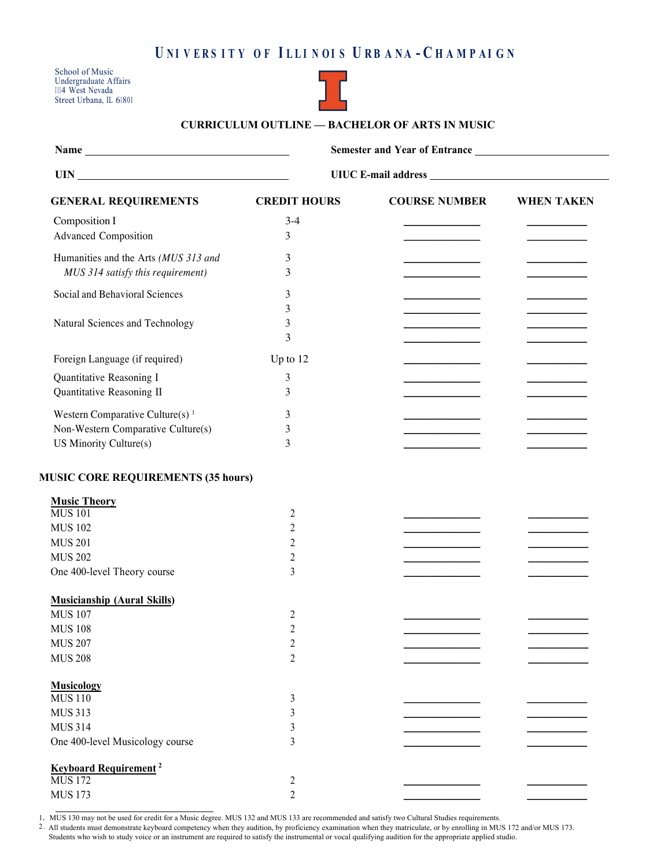## UNIVERS ITY OF ILLINOIS URBANA - CHAMPAIGN

School of Music Undergraduate Affairs 1114 West Nevada Street Urbana, IL 61801



## **CURRICULUM OUTLINE –– BACHELOR OF ARTS IN MUSIC**

| <b>Name</b>                 |                     | <b>Semester and Year of Entrance</b> |            |  |
|-----------------------------|---------------------|--------------------------------------|------------|--|
| - UIN                       |                     | UIUC E-mail address                  |            |  |
| <b>GENERAL REQUIREMENTS</b> | <b>CREDIT HOURS</b> | <b>COURSE NUMBER</b>                 | WHEN TAKEN |  |

| Composition I                               | $3-4$          |  |
|---------------------------------------------|----------------|--|
| <b>Advanced Composition</b>                 | 3              |  |
| Humanities and the Arts (MUS 313 and        |                |  |
|                                             | 3              |  |
| MUS 314 satisfy this requirement)           | 3              |  |
| Social and Behavioral Sciences              | 3              |  |
|                                             | 3              |  |
| Natural Sciences and Technology             | 3              |  |
|                                             | 3              |  |
| Foreign Language (if required)              | Up to 12       |  |
| Quantitative Reasoning I                    | $\mathfrak{Z}$ |  |
| Quantitative Reasoning II                   | 3              |  |
| Western Comparative Culture(s) <sup>1</sup> | 3              |  |
| Non-Western Comparative Culture(s)          | 3              |  |
| US Minority Culture(s)                      | 3              |  |
|                                             |                |  |
| <b>MUSIC CORE REQUIREMENTS (35 hours)</b>   |                |  |
| <b>Music Theory</b>                         |                |  |
| <b>MUS 101</b>                              | 2              |  |
| <b>MUS 102</b>                              | $\overline{c}$ |  |
| <b>MUS 201</b>                              | $\overline{2}$ |  |
| <b>MUS 202</b>                              | $\overline{2}$ |  |
| One 400-level Theory course                 | 3              |  |
|                                             |                |  |
| <b>Musicianship (Aural Skills)</b>          |                |  |
| <b>MUS 107</b>                              | 2              |  |
| <b>MUS 108</b>                              | $\overline{2}$ |  |
| <b>MUS 207</b>                              | $\overline{2}$ |  |
| <b>MUS 208</b>                              | $\overline{2}$ |  |
|                                             |                |  |
| <b>Musicology</b>                           |                |  |
| <b>MUS 110</b>                              | 3              |  |
| <b>MUS 313</b>                              | $\mathfrak{Z}$ |  |
| <b>MUS 314</b>                              | 3              |  |
| One 400-level Musicology course             | 3              |  |
| <b>Keyboard Requirement<sup>2</sup></b>     |                |  |
| <b>MUS 172</b>                              | $\overline{c}$ |  |
| <b>MUS 173</b>                              | $\overline{2}$ |  |

1. MUS 130 may not be used for credit for a Music degree. MUS 132 and MUS 133 are recommended and satisfy two Cultural Studies requirements.

2 . All students must demonstrate keyboard competency when they audition, by proficiency examination when they matriculate, or by enrolling in MUS 172 and/or MUS 173. Students who wish to study voice or an instrument are required to satisfy the instrumental or vocal qualifying audition for the appropriate applied studio.